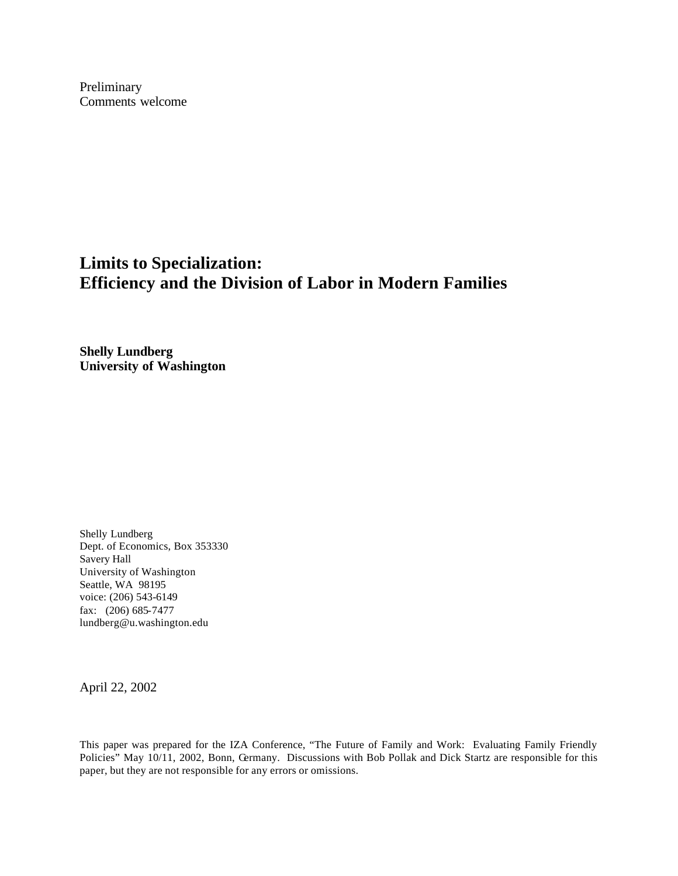Preliminary Comments welcome

# **Limits to Specialization: Efficiency and the Division of Labor in Modern Families**

**Shelly Lundberg University of Washington**

Shelly Lundberg Dept. of Economics, Box 353330 Savery Hall University of Washington Seattle, WA 98195 voice: (206) 543-6149 fax: (206) 685-7477 lundberg@u.washington.edu

April 22, 2002

This paper was prepared for the IZA Conference, "The Future of Family and Work: Evaluating Family Friendly Policies" May 10/11, 2002, Bonn, Germany. Discussions with Bob Pollak and Dick Startz are responsible for this paper, but they are not responsible for any errors or omissions.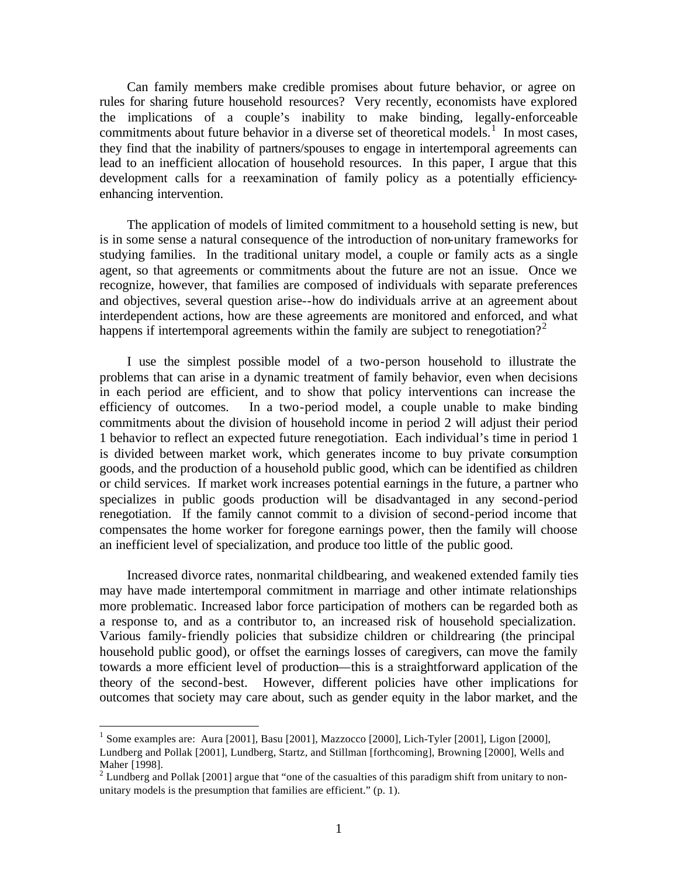Can family members make credible promises about future behavior, or agree on rules for sharing future household resources? Very recently, economists have explored the implications of a couple's inability to make binding, legally-enforceable commitments about future behavior in a diverse set of theoretical models.<sup>1</sup> In most cases, they find that the inability of partners/spouses to engage in intertemporal agreements can lead to an inefficient allocation of household resources. In this paper, I argue that this development calls for a reexamination of family policy as a potentially efficiencyenhancing intervention.

The application of models of limited commitment to a household setting is new, but is in some sense a natural consequence of the introduction of non-unitary frameworks for studying families. In the traditional unitary model, a couple or family acts as a single agent, so that agreements or commitments about the future are not an issue. Once we recognize, however, that families are composed of individuals with separate preferences and objectives, several question arise--how do individuals arrive at an agreement about interdependent actions, how are these agreements are monitored and enforced, and what happens if intertemporal agreements within the family are subject to renegotiation?<sup>2</sup>

I use the simplest possible model of a two-person household to illustrate the problems that can arise in a dynamic treatment of family behavior, even when decisions in each period are efficient, and to show that policy interventions can increase the efficiency of outcomes. In a two-period model, a couple unable to make binding commitments about the division of household income in period 2 will adjust their period 1 behavior to reflect an expected future renegotiation. Each individual's time in period 1 is divided between market work, which generates income to buy private consumption goods, and the production of a household public good, which can be identified as children or child services. If market work increases potential earnings in the future, a partner who specializes in public goods production will be disadvantaged in any second-period renegotiation. If the family cannot commit to a division of second-period income that compensates the home worker for foregone earnings power, then the family will choose an inefficient level of specialization, and produce too little of the public good.

Increased divorce rates, nonmarital childbearing, and weakened extended family ties may have made intertemporal commitment in marriage and other intimate relationships more problematic. Increased labor force participation of mothers can be regarded both as a response to, and as a contributor to, an increased risk of household specialization. Various family-friendly policies that subsidize children or childrearing (the principal household public good), or offset the earnings losses of caregivers, can move the family towards a more efficient level of production—this is a straightforward application of the theory of the second-best. However, different policies have other implications for outcomes that society may care about, such as gender equity in the labor market, and the

<sup>&</sup>lt;sup>1</sup> Some examples are: Aura [2001], Basu [2001], Mazzocco [2000], Lich-Tyler [2001], Ligon [2000], Lundberg and Pollak [2001], Lundberg, Startz, and Stillman [forthcoming], Browning [2000], Wells and Maher [1998].

<sup>&</sup>lt;sup>2</sup> Lundberg and Pollak [2001] argue that "one of the casualties of this paradigm shift from unitary to nonunitary models is the presumption that families are efficient." (p. 1).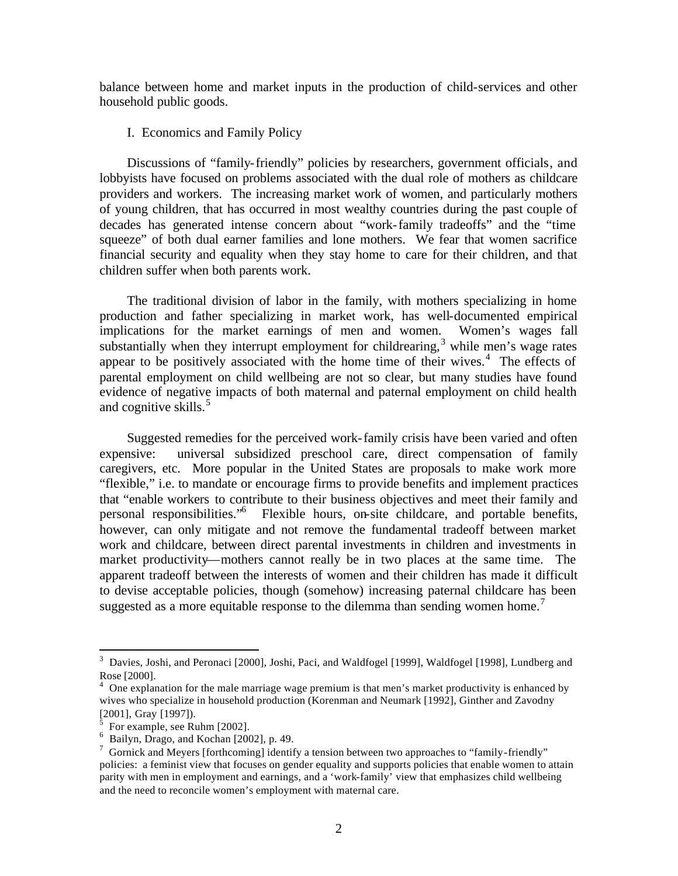balance between home and market inputs in the production of child-services and other household public goods.

## I. Economics and Family Policy

Discussions of "family-friendly" policies by researchers, government officials, and lobbyists have focused on problems associated with the dual role of mothers as childcare providers and workers. The increasing market work of women, and particularly mothers of young children, that has occurred in most wealthy countries during the past couple of decades has generated intense concern about "work-family tradeoffs" and the "time squeeze" of both dual earner families and lone mothers. We fear that women sacrifice financial security and equality when they stay home to care for their children, and that children suffer when both parents work.

The traditional division of labor in the family, with mothers specializing in home production and father specializing in market work, has well-documented empirical implications for the market earnings of men and women. Women's wages fall substantially when they interrupt employment for childrearing,<sup>3</sup> while men's wage rates appear to be positively associated with the home time of their wives. $4$  The effects of parental employment on child wellbeing are not so clear, but many studies have found evidence of negative impacts of both maternal and paternal employment on child health and cognitive skills.<sup>5</sup>

Suggested remedies for the perceived work-family crisis have been varied and often expensive: universal subsidized preschool care, direct compensation of family caregivers, etc. More popular in the United States are proposals to make work more "flexible," i.e. to mandate or encourage firms to provide benefits and implement practices that "enable workers to contribute to their business objectives and meet their family and personal responsibilities."<sup>6</sup> Flexible hours, on-site childcare, and portable benefits, however, can only mitigate and not remove the fundamental tradeoff between market work and childcare, between direct parental investments in children and investments in market productivity—mothers cannot really be in two places at the same time. The apparent tradeoff between the interests of women and their children has made it difficult to devise acceptable policies, though (somehow) increasing paternal childcare has been suggested as a more equitable response to the dilemma than sending women home.<sup>7</sup>

<sup>&</sup>lt;sup>3</sup> Davies, Joshi, and Peronaci [2000], Joshi, Paci, and Waldfogel [1999], Waldfogel [1998], Lundberg and Rose [2000].

<sup>&</sup>lt;sup>4</sup> One explanation for the male marriage wage premium is that men's market productivity is enhanced by wives who specialize in household production (Korenman and Neumark [1992], Ginther and Zavodny [2001], Gray [1997]).

<sup>5</sup> For example, see Ruhm [2002].

<sup>6</sup> Bailyn, Drago, and Kochan [2002], p. 49.

 $7$  Gornick and Meyers [forthcoming] identify a tension between two approaches to "family-friendly" policies: a feminist view that focuses on gender equality and supports policies that enable women to attain parity with men in employment and earnings, and a 'work-family' view that emphasizes child wellbeing and the need to reconcile women's employment with maternal care.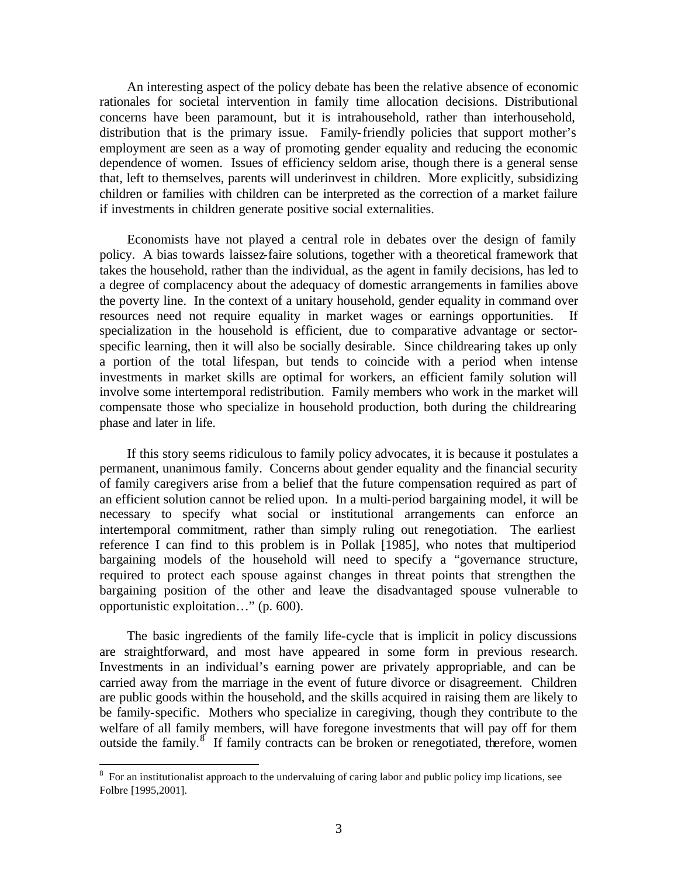An interesting aspect of the policy debate has been the relative absence of economic rationales for societal intervention in family time allocation decisions. Distributional concerns have been paramount, but it is intrahousehold, rather than interhousehold, distribution that is the primary issue. Family-friendly policies that support mother's employment are seen as a way of promoting gender equality and reducing the economic dependence of women. Issues of efficiency seldom arise, though there is a general sense that, left to themselves, parents will underinvest in children. More explicitly, subsidizing children or families with children can be interpreted as the correction of a market failure if investments in children generate positive social externalities.

Economists have not played a central role in debates over the design of family policy. A bias towards laissez-faire solutions, together with a theoretical framework that takes the household, rather than the individual, as the agent in family decisions, has led to a degree of complacency about the adequacy of domestic arrangements in families above the poverty line. In the context of a unitary household, gender equality in command over resources need not require equality in market wages or earnings opportunities. If specialization in the household is efficient, due to comparative advantage or sectorspecific learning, then it will also be socially desirable. Since childrearing takes up only a portion of the total lifespan, but tends to coincide with a period when intense investments in market skills are optimal for workers, an efficient family solution will involve some intertemporal redistribution. Family members who work in the market will compensate those who specialize in household production, both during the childrearing phase and later in life.

If this story seems ridiculous to family policy advocates, it is because it postulates a permanent, unanimous family. Concerns about gender equality and the financial security of family caregivers arise from a belief that the future compensation required as part of an efficient solution cannot be relied upon. In a multi-period bargaining model, it will be necessary to specify what social or institutional arrangements can enforce an intertemporal commitment, rather than simply ruling out renegotiation. The earliest reference I can find to this problem is in Pollak [1985], who notes that multiperiod bargaining models of the household will need to specify a "governance structure, required to protect each spouse against changes in threat points that strengthen the bargaining position of the other and leave the disadvantaged spouse vulnerable to opportunistic exploitation…" (p. 600).

The basic ingredients of the family life-cycle that is implicit in policy discussions are straightforward, and most have appeared in some form in previous research. Investments in an individual's earning power are privately appropriable, and can be carried away from the marriage in the event of future divorce or disagreement. Children are public goods within the household, and the skills acquired in raising them are likely to be family-specific. Mothers who specialize in caregiving, though they contribute to the welfare of all family members, will have foregone investments that will pay off for them outside the family.<sup>8</sup> If family contracts can be broken or renegotiated, therefore, women

<sup>&</sup>lt;sup>8</sup> For an institutionalist approach to the undervaluing of caring labor and public policy imp lications, see Folbre [1995,2001].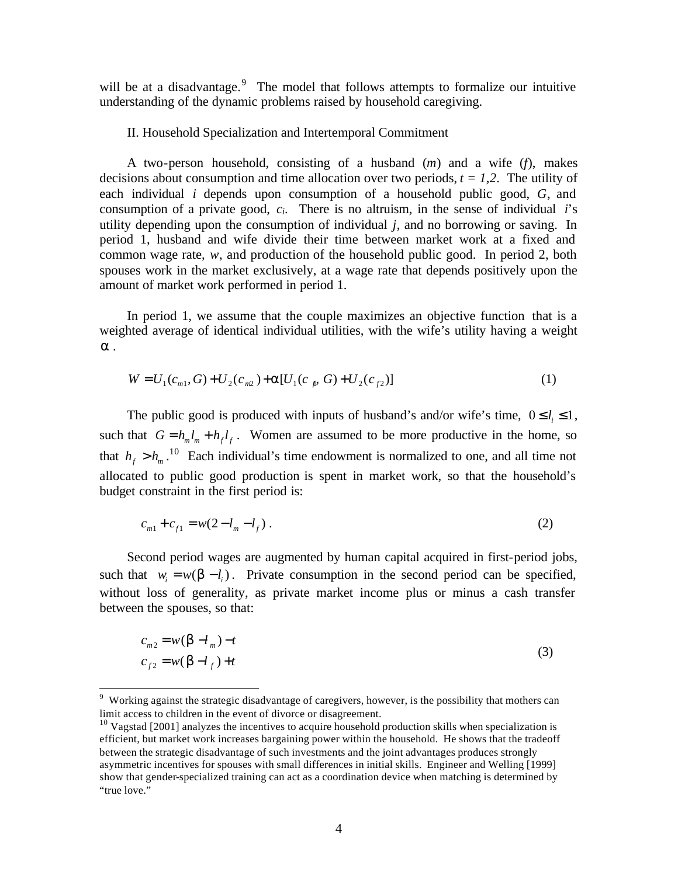will be at a disadvantage. $9$  The model that follows attempts to formalize our intuitive understanding of the dynamic problems raised by household caregiving.

#### II. Household Specialization and Intertemporal Commitment

A two-person household, consisting of a husband (*m*) and a wife (*f*), makes decisions about consumption and time allocation over two periods,  $t = 1,2$ . The utility of each individual *i* depends upon consumption of a household public good, *G*, and consumption of a private good,  $c_i$ . There is no altruism, in the sense of individual *i*'s utility depending upon the consumption of individual *j*, and no borrowing or saving. In period 1, husband and wife divide their time between market work at a fixed and common wage rate, *w*, and production of the household public good. In period 2, both spouses work in the market exclusively, at a wage rate that depends positively upon the amount of market work performed in period 1.

In period 1, we assume that the couple maximizes an objective function that is a weighted average of identical individual utilities, with the wife's utility having a weight *a* .

$$
W = U_1(c_{m1}, G) + U_2(c_{m2}) + a[U_1(c_{n}, G) + U_2(c_{f2})]
$$
\n(1)

The public good is produced with inputs of husband's and/or wife's time,  $0 \le l_i \le 1$ , such that  $G = h_m l_m + h_f l_f$ . Women are assumed to be more productive in the home, so that  $h_f > h_m$ .<sup>10</sup> Each individual's time endowment is normalized to one, and all time not allocated to public good production is spent in market work, so that the household's budget constraint in the first period is:

$$
c_{m1} + c_{f1} = w(2 - l_m - l_f) \tag{2}
$$

Second period wages are augmented by human capital acquired in first-period jobs, such that  $w_i = w(\mathbf{b} - l_i)$ . Private consumption in the second period can be specified, without loss of generality, as private market income plus or minus a cash transfer between the spouses, so that:

$$
c_{m2} = w(\mathbf{b} - l_m) - t
$$
  
\n
$$
c_{f2} = w(\mathbf{b} - l_f) + t
$$
\n(3)

<sup>&</sup>lt;sup>9</sup> Working against the strategic disadvantage of caregivers, however, is the possibility that mothers can limit access to children in the event of divorce or disagreement.

 $10$  Vagstad [2001] analyzes the incentives to acquire household production skills when specialization is efficient, but market work increases bargaining power within the household. He shows that the tradeoff between the strategic disadvantage of such investments and the joint advantages produces strongly asymmetric incentives for spouses with small differences in initial skills. Engineer and Welling [1999] show that gender-specialized training can act as a coordination device when matching is determined by "true love."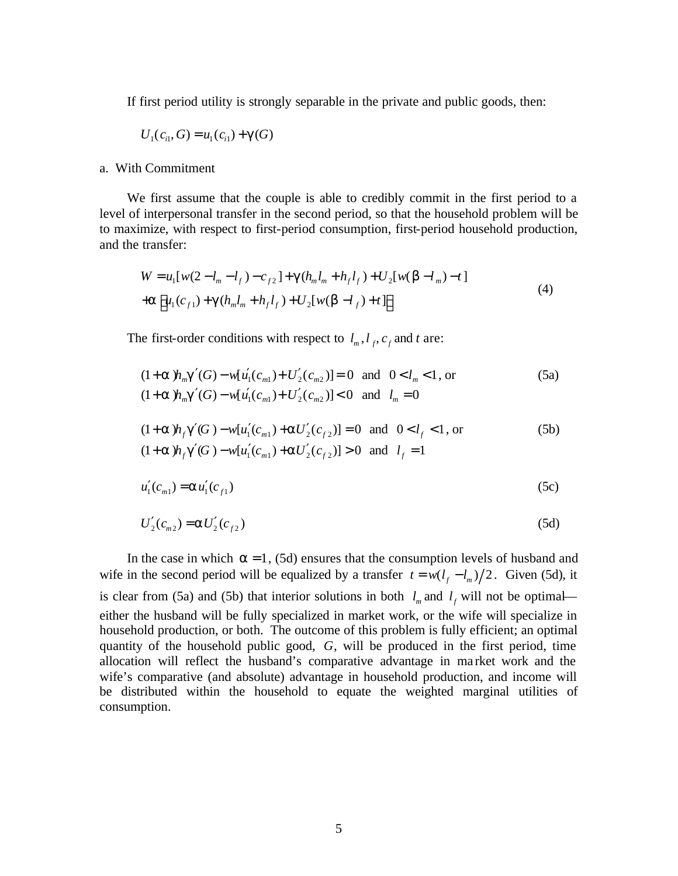If first period utility is strongly separable in the private and public goods, then:

$$
U_1(c_{i1}, G) = u_1(c_{i1}) + \mathbf{g}(G)
$$

#### a. With Commitment

We first assume that the couple is able to credibly commit in the first period to a level of interpersonal transfer in the second period, so that the household problem will be to maximize, with respect to first-period consumption, first-period household production, and the transfer:

$$
W = u_1[w(2 - l_m - l_f) - c_{f2}] + \mathbf{g}(h_m l_m + h_f l_f) + U_2[w(\mathbf{b} - l_m) - t]
$$
  
+
$$
\mathbf{a}[u_1(c_{f1}) + \mathbf{g}(h_m l_m + h_f l_f) + U_2[w(\mathbf{b} - l_f) + t]]
$$
 (4)

The first-order conditions with respect to  $l_m$ ,  $l_f$ ,  $c_f$  and  $t$  are:

$$
(1+a)hmg'(G) - w[u'1(cm1) + U'2(cm2)] = 0 \text{ and } 0 < lm < 1, \text{ or}
$$
  
(1+a)h<sub>m</sub>g'(G) - w[u'<sub>1</sub>(c<sub>m1</sub>) + U'<sub>2</sub>(c<sub>m2</sub>)] < 0 and l<sub>m</sub> = 0 (5a)

$$
(1+a)h_f g'(G) - w[u'_1(c_{m1}) + aU'_2(c_{f2})] = 0 \text{ and } 0 < l_f < 1, \text{ or}
$$
  
(1+a)h\_f g'(G) - w[u'\_1(c\_{m1}) + aU'\_2(c\_{f2})] > 0 and l\_f = 1\n
$$
(5b)
$$

$$
u_1'(c_{m1}) = \mathbf{a} u_1'(c_{f1})
$$
 (5c)

$$
U'_{2}(c_{m2}) = \mathbf{a}U'_{2}(c_{f2})
$$
\n(5d)

In the case in which  $a = 1$ , (5d) ensures that the consumption levels of husband and wife in the second period will be equalized by a transfer  $t = w(l_f - l_m)/2$ . Given (5d), it is clear from (5a) and (5b) that interior solutions in both  $l_m$  and  $l_f$  will not be optimal either the husband will be fully specialized in market work, or the wife will specialize in household production, or both. The outcome of this problem is fully efficient; an optimal quantity of the household public good, *G*, will be produced in the first period, time allocation will reflect the husband's comparative advantage in ma rket work and the wife's comparative (and absolute) advantage in household production, and income will be distributed within the household to equate the weighted marginal utilities of consumption.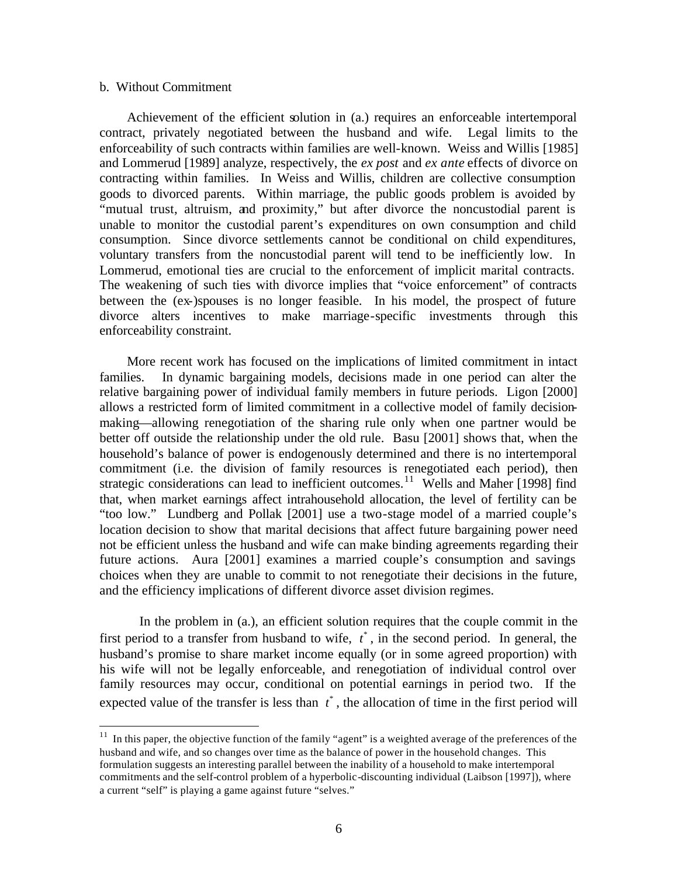#### b. Without Commitment

 $\overline{a}$ 

Achievement of the efficient solution in (a.) requires an enforceable intertemporal contract, privately negotiated between the husband and wife. Legal limits to the enforceability of such contracts within families are well-known. Weiss and Willis [1985] and Lommerud [1989] analyze, respectively, the *ex post* and *ex ante* effects of divorce on contracting within families. In Weiss and Willis, children are collective consumption goods to divorced parents. Within marriage, the public goods problem is avoided by "mutual trust, altruism, and proximity," but after divorce the noncustodial parent is unable to monitor the custodial parent's expenditures on own consumption and child consumption. Since divorce settlements cannot be conditional on child expenditures, voluntary transfers from the noncustodial parent will tend to be inefficiently low. In Lommerud, emotional ties are crucial to the enforcement of implicit marital contracts. The weakening of such ties with divorce implies that "voice enforcement" of contracts between the (ex-)spouses is no longer feasible. In his model, the prospect of future divorce alters incentives to make marriage-specific investments through this enforceability constraint.

More recent work has focused on the implications of limited commitment in intact families. In dynamic bargaining models, decisions made in one period can alter the relative bargaining power of individual family members in future periods. Ligon [2000] allows a restricted form of limited commitment in a collective model of family decisionmaking—allowing renegotiation of the sharing rule only when one partner would be better off outside the relationship under the old rule. Basu [2001] shows that, when the household's balance of power is endogenously determined and there is no intertemporal commitment (i.e. the division of family resources is renegotiated each period), then strategic considerations can lead to inefficient outcomes.<sup>11</sup> Wells and Maher [1998] find that, when market earnings affect intrahousehold allocation, the level of fertility can be "too low." Lundberg and Pollak [2001] use a two-stage model of a married couple's location decision to show that marital decisions that affect future bargaining power need not be efficient unless the husband and wife can make binding agreements regarding their future actions. Aura [2001] examines a married couple's consumption and savings choices when they are unable to commit to not renegotiate their decisions in the future, and the efficiency implications of different divorce asset division regimes.

In the problem in (a.), an efficient solution requires that the couple commit in the first period to a transfer from husband to wife,  $t^*$ , in the second period. In general, the husband's promise to share market income equally (or in some agreed proportion) with his wife will not be legally enforceable, and renegotiation of individual control over family resources may occur, conditional on potential earnings in period two. If the expected value of the transfer is less than  $t^*$ , the allocation of time in the first period will

 $11$  In this paper, the objective function of the family "agent" is a weighted average of the preferences of the husband and wife, and so changes over time as the balance of power in the household changes. This formulation suggests an interesting parallel between the inability of a household to make intertemporal commitments and the self-control problem of a hyperbolic-discounting individual (Laibson [1997]), where a current "self" is playing a game against future "selves."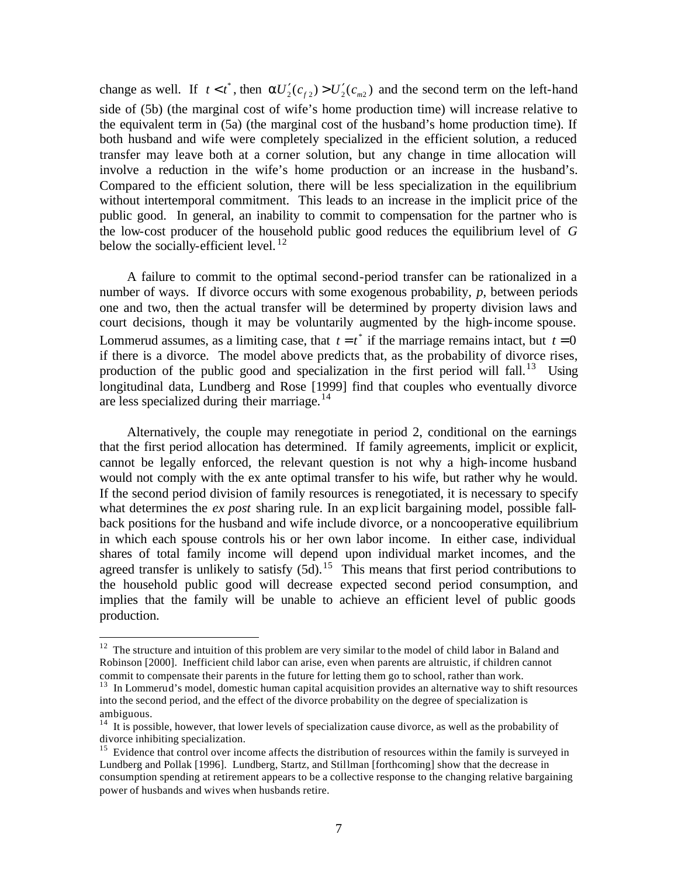change as well. If  $t < t^*$ , then  $aU_2'(c_{f2}) > U_2'(c_{m2})$  and the second term on the left-hand side of (5b) (the marginal cost of wife's home production time) will increase relative to the equivalent term in (5a) (the marginal cost of the husband's home production time). If both husband and wife were completely specialized in the efficient solution, a reduced transfer may leave both at a corner solution, but any change in time allocation will involve a reduction in the wife's home production or an increase in the husband's. Compared to the efficient solution, there will be less specialization in the equilibrium without intertemporal commitment. This leads to an increase in the implicit price of the public good. In general, an inability to commit to compensation for the partner who is the low-cost producer of the household public good reduces the equilibrium level of *G* below the socially-efficient level.  $^{12}$ 

A failure to commit to the optimal second-period transfer can be rationalized in a number of ways. If divorce occurs with some exogenous probability, *p*, between periods one and two, then the actual transfer will be determined by property division laws and court decisions, though it may be voluntarily augmented by the high-income spouse. Lommerud assumes, as a limiting case, that  $t = t^*$  if the marriage remains intact, but  $t = 0$ if there is a divorce. The model above predicts that, as the probability of divorce rises, production of the public good and specialization in the first period will fall.<sup>13</sup> Using longitudinal data, Lundberg and Rose [1999] find that couples who eventually divorce are less specialized during their marriage. $14$ 

Alternatively, the couple may renegotiate in period 2, conditional on the earnings that the first period allocation has determined. If family agreements, implicit or explicit, cannot be legally enforced, the relevant question is not why a high-income husband would not comply with the ex ante optimal transfer to his wife, but rather why he would. If the second period division of family resources is renegotiated, it is necessary to specify what determines the *ex post* sharing rule. In an explicit bargaining model, possible fallback positions for the husband and wife include divorce, or a noncooperative equilibrium in which each spouse controls his or her own labor income. In either case, individual shares of total family income will depend upon individual market incomes, and the agreed transfer is unlikely to satisfy  $(5d)^{15}$ . This means that first period contributions to the household public good will decrease expected second period consumption, and implies that the family will be unable to achieve an efficient level of public goods production.

 $12$  The structure and intuition of this problem are very similar to the model of child labor in Baland and Robinson [2000]. Inefficient child labor can arise, even when parents are altruistic, if children cannot commit to compensate their parents in the future for letting them go to school, rather than work.

<sup>&</sup>lt;sup>13</sup> In Lommerud's model, domestic human capital acquisition provides an alternative way to shift resources into the second period, and the effect of the divorce probability on the degree of specialization is ambiguous.

<sup>&</sup>lt;sup>14</sup> It is possible, however, that lower levels of specialization cause divorce, as well as the probability of divorce inhibiting specialization.

<sup>&</sup>lt;sup>15</sup> Evidence that control over income affects the distribution of resources within the family is surveyed in Lundberg and Pollak [1996]. Lundberg, Startz, and Stillman [forthcoming] show that the decrease in consumption spending at retirement appears to be a collective response to the changing relative bargaining power of husbands and wives when husbands retire.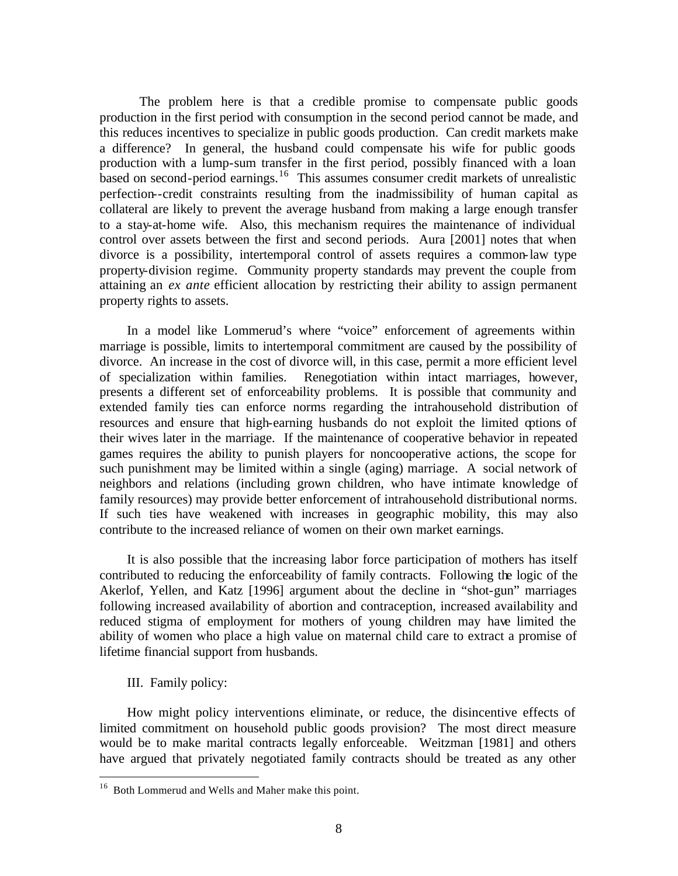The problem here is that a credible promise to compensate public goods production in the first period with consumption in the second period cannot be made, and this reduces incentives to specialize in public goods production. Can credit markets make a difference? In general, the husband could compensate his wife for public goods production with a lump-sum transfer in the first period, possibly financed with a loan based on second-period earnings.<sup>16</sup> This assumes consumer credit markets of unrealistic perfection--credit constraints resulting from the inadmissibility of human capital as collateral are likely to prevent the average husband from making a large enough transfer to a stay-at-home wife. Also, this mechanism requires the maintenance of individual control over assets between the first and second periods. Aura [2001] notes that when divorce is a possibility, intertemporal control of assets requires a common-law type property-division regime. Community property standards may prevent the couple from attaining an *ex ante* efficient allocation by restricting their ability to assign permanent property rights to assets.

In a model like Lommerud's where "voice" enforcement of agreements within marriage is possible, limits to intertemporal commitment are caused by the possibility of divorce. An increase in the cost of divorce will, in this case, permit a more efficient level of specialization within families. Renegotiation within intact marriages, however, presents a different set of enforceability problems. It is possible that community and extended family ties can enforce norms regarding the intrahousehold distribution of resources and ensure that high-earning husbands do not exploit the limited options of their wives later in the marriage. If the maintenance of cooperative behavior in repeated games requires the ability to punish players for noncooperative actions, the scope for such punishment may be limited within a single (aging) marriage. A social network of neighbors and relations (including grown children, who have intimate knowledge of family resources) may provide better enforcement of intrahousehold distributional norms. If such ties have weakened with increases in geographic mobility, this may also contribute to the increased reliance of women on their own market earnings.

It is also possible that the increasing labor force participation of mothers has itself contributed to reducing the enforceability of family contracts. Following the logic of the Akerlof, Yellen, and Katz [1996] argument about the decline in "shot-gun" marriages following increased availability of abortion and contraception, increased availability and reduced stigma of employment for mothers of young children may have limited the ability of women who place a high value on maternal child care to extract a promise of lifetime financial support from husbands.

# III. Family policy:

 $\overline{a}$ 

How might policy interventions eliminate, or reduce, the disincentive effects of limited commitment on household public goods provision? The most direct measure would be to make marital contracts legally enforceable. Weitzman [1981] and others have argued that privately negotiated family contracts should be treated as any other

<sup>16</sup> Both Lommerud and Wells and Maher make this point.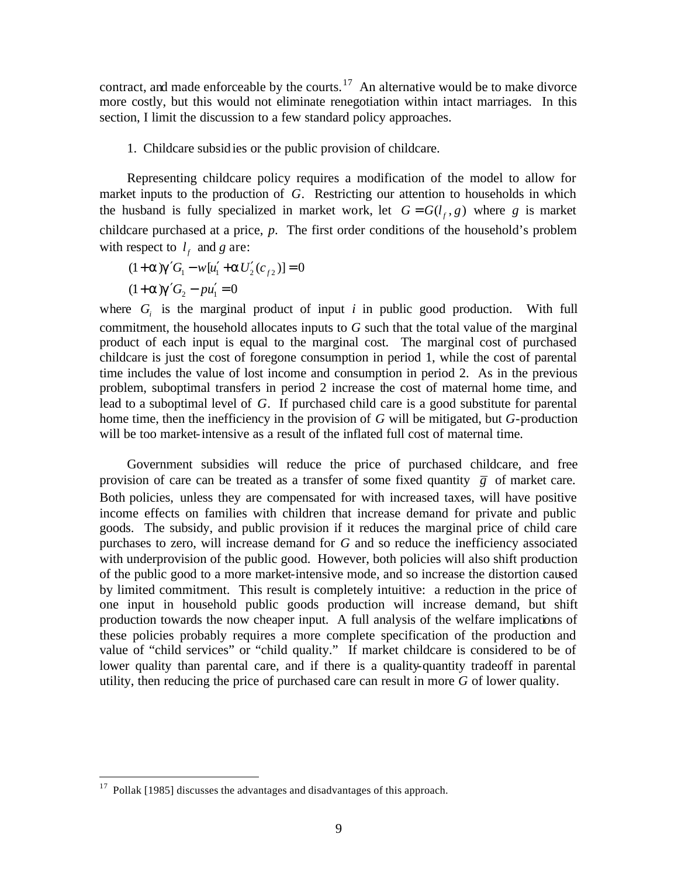contract, and made enforceable by the courts.<sup>17</sup> An alternative would be to make divorce more costly, but this would not eliminate renegotiation within intact marriages. In this section, I limit the discussion to a few standard policy approaches.

1. Childcare subsidies or the public provision of childcare.

Representing childcare policy requires a modification of the model to allow for market inputs to the production of *G*. Restricting our attention to households in which the husband is fully specialized in market work, let  $G = G(l_f, g)$  where *g* is market childcare purchased at a price, *p*. The first order conditions of the household's problem with respect to  $l_f$  and *g* are:

 $(1 + a)g'G_1 - w[u'_1 + aU'_2(c_{f2})] = 0$  $(1 + a)g'G_2 - pu'_1 = 0$ 

where  $G_i$  is the marginal product of input *i* in public good production. With full commitment, the household allocates inputs to *G* such that the total value of the marginal product of each input is equal to the marginal cost. The marginal cost of purchased childcare is just the cost of foregone consumption in period 1, while the cost of parental time includes the value of lost income and consumption in period 2. As in the previous problem, suboptimal transfers in period 2 increase the cost of maternal home time, and lead to a suboptimal level of *G*. If purchased child care is a good substitute for parental home time, then the inefficiency in the provision of *G* will be mitigated, but *G*-production will be too market-intensive as a result of the inflated full cost of maternal time.

Government subsidies will reduce the price of purchased childcare, and free provision of care can be treated as a transfer of some fixed quantity  $\overline{g}$  of market care. Both policies, unless they are compensated for with increased taxes, will have positive income effects on families with children that increase demand for private and public goods. The subsidy, and public provision if it reduces the marginal price of child care purchases to zero, will increase demand for *G* and so reduce the inefficiency associated with underprovision of the public good. However, both policies will also shift production of the public good to a more market-intensive mode, and so increase the distortion caused by limited commitment. This result is completely intuitive: a reduction in the price of one input in household public goods production will increase demand, but shift production towards the now cheaper input. A full analysis of the welfare implications of these policies probably requires a more complete specification of the production and value of "child services" or "child quality." If market childcare is considered to be of lower quality than parental care, and if there is a quality-quantity tradeoff in parental utility, then reducing the price of purchased care can result in more *G* of lower quality.

 $17$  Pollak [1985] discusses the advantages and disadvantages of this approach.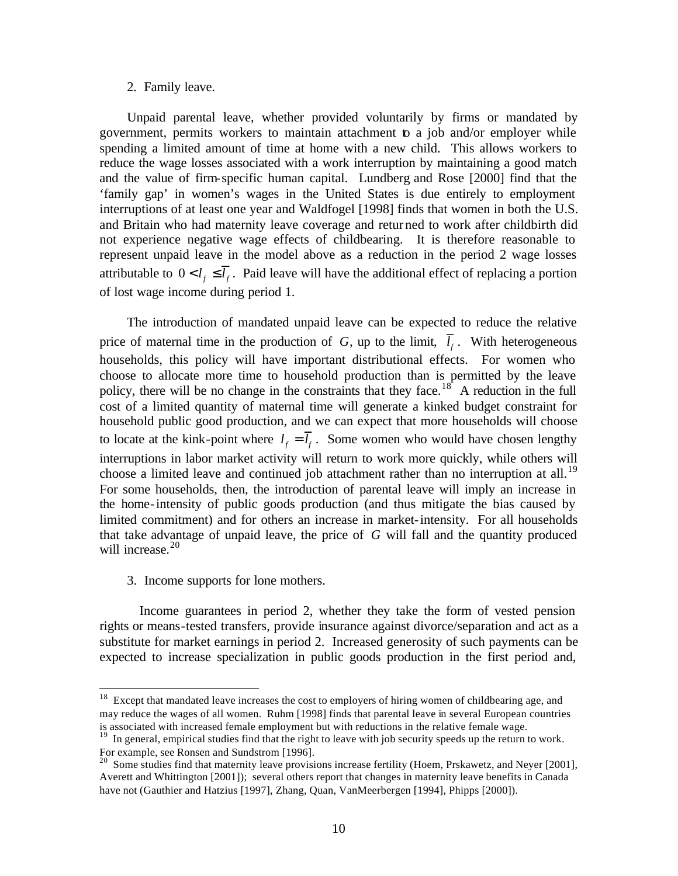#### 2. Family leave.

Unpaid parental leave, whether provided voluntarily by firms or mandated by government, permits workers to maintain attachment to a job and/or employer while spending a limited amount of time at home with a new child. This allows workers to reduce the wage losses associated with a work interruption by maintaining a good match and the value of firm-specific human capital. Lundberg and Rose [2000] find that the 'family gap' in women's wages in the United States is due entirely to employment interruptions of at least one year and Waldfogel [1998] finds that women in both the U.S. and Britain who had maternity leave coverage and returned to work after childbirth did not experience negative wage effects of childbearing. It is therefore reasonable to represent unpaid leave in the model above as a reduction in the period 2 wage losses attributable to  $0 < l_f \leq \overline{l}_f$ . Paid leave will have the additional effect of replacing a portion of lost wage income during period 1.

The introduction of mandated unpaid leave can be expected to reduce the relative price of maternal time in the production of  $G$ , up to the limit,  $l_f$ . With heterogeneous households, this policy will have important distributional effects. For women who choose to allocate more time to household production than is permitted by the leave policy, there will be no change in the constraints that they face.<sup>18</sup> A reduction in the full cost of a limited quantity of maternal time will generate a kinked budget constraint for household public good production, and we can expect that more households will choose to locate at the kink-point where  $l_f = \overline{l}_f$ . Some women who would have chosen lengthy interruptions in labor market activity will return to work more quickly, while others will choose a limited leave and continued job attachment rather than no interruption at all.<sup>19</sup> For some households, then, the introduction of parental leave will imply an increase in the home-intensity of public goods production (and thus mitigate the bias caused by limited commitment) and for others an increase in market-intensity. For all households that take advantage of unpaid leave, the price of *G* will fall and the quantity produced will increase.<sup>20</sup>

3. Income supports for lone mothers.

 $\overline{a}$ 

Income guarantees in period 2, whether they take the form of vested pension rights or means-tested transfers, provide insurance against divorce/separation and act as a substitute for market earnings in period 2. Increased generosity of such payments can be expected to increase specialization in public goods production in the first period and,

 $18$  Except that mandated leave increases the cost to employers of hiring women of childbearing age, and may reduce the wages of all women. Ruhm [1998] finds that parental leave in several European countries is associated with increased female employment but with reductions in the relative female wage.

<sup>&</sup>lt;sup>19</sup> In general, empirical studies find that the right to leave with job security speeds up the return to work. For example, see Ronsen and Sundstrom [1996].

<sup>&</sup>lt;sup>20</sup> Some studies find that maternity leave provisions increase fertility (Hoem, Prskawetz, and Neyer [2001], Averett and Whittington [2001]); several others report that changes in maternity leave benefits in Canada have not (Gauthier and Hatzius [1997], Zhang, Quan, VanMeerbergen [1994], Phipps [2000]).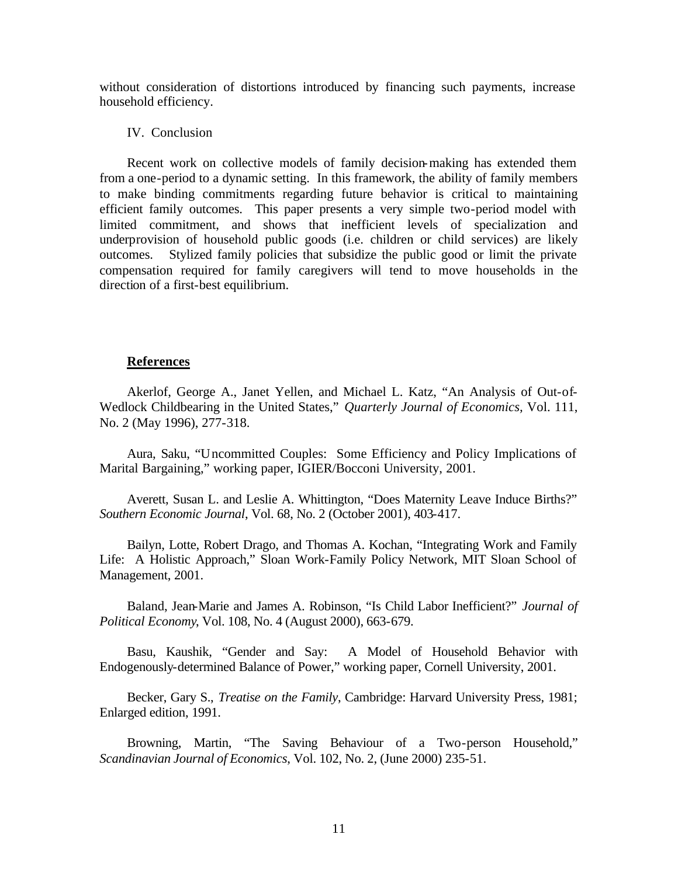without consideration of distortions introduced by financing such payments, increase household efficiency.

## IV. Conclusion

Recent work on collective models of family decision-making has extended them from a one-period to a dynamic setting. In this framework, the ability of family members to make binding commitments regarding future behavior is critical to maintaining efficient family outcomes. This paper presents a very simple two-period model with limited commitment, and shows that inefficient levels of specialization and underprovision of household public goods (i.e. children or child services) are likely outcomes. Stylized family policies that subsidize the public good or limit the private compensation required for family caregivers will tend to move households in the direction of a first-best equilibrium.

#### **References**

Akerlof, George A., Janet Yellen, and Michael L. Katz, "An Analysis of Out-of-Wedlock Childbearing in the United States," *Quarterly Journal of Economics,* Vol. 111, No. 2 (May 1996), 277-318.

Aura, Saku, "Uncommitted Couples: Some Efficiency and Policy Implications of Marital Bargaining," working paper, IGIER/Bocconi University, 2001.

Averett, Susan L. and Leslie A. Whittington, "Does Maternity Leave Induce Births?" *Southern Economic Journal*, Vol. 68, No. 2 (October 2001), 403-417.

Bailyn, Lotte, Robert Drago, and Thomas A. Kochan, "Integrating Work and Family Life: A Holistic Approach," Sloan Work-Family Policy Network, MIT Sloan School of Management, 2001.

Baland, Jean-Marie and James A. Robinson, "Is Child Labor Inefficient?" *Journal of Political Economy*, Vol. 108, No. 4 (August 2000), 663-679.

Basu, Kaushik, "Gender and Say: A Model of Household Behavior with Endogenously-determined Balance of Power," working paper, Cornell University, 2001.

Becker, Gary S., *Treatise on the Family*, Cambridge: Harvard University Press, 1981; Enlarged edition, 1991.

Browning, Martin, "The Saving Behaviour of a Two-person Household," *Scandinavian Journal of Economics*, Vol. 102, No. 2, (June 2000) 235-51.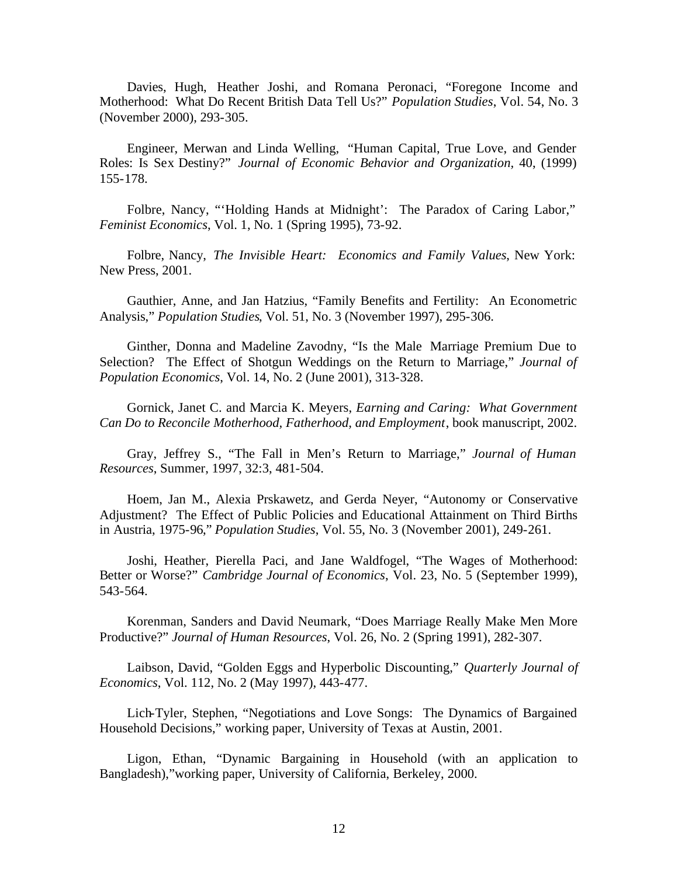Davies, Hugh, Heather Joshi, and Romana Peronaci, "Foregone Income and Motherhood: What Do Recent British Data Tell Us?" *Population Studies*, Vol. 54, No. 3 (November 2000), 293-305.

Engineer, Merwan and Linda Welling, "Human Capital, True Love, and Gender Roles: Is Sex Destiny?" *Journal of Economic Behavior and Organization,* 40, (1999) 155-178.

Folbre, Nancy, "'Holding Hands at Midnight': The Paradox of Caring Labor," *Feminist Economics*, Vol. 1, No. 1 (Spring 1995), 73-92.

Folbre, Nancy, *The Invisible Heart: Economics and Family Values*, New York: New Press, 2001.

Gauthier, Anne, and Jan Hatzius, "Family Benefits and Fertility: An Econometric Analysis," *Population Studies*, Vol. 51, No. 3 (November 1997), 295-306.

Ginther, Donna and Madeline Zavodny, "Is the Male Marriage Premium Due to Selection? The Effect of Shotgun Weddings on the Return to Marriage," *Journal of Population Economics*, Vol. 14, No. 2 (June 2001), 313-328.

Gornick, Janet C. and Marcia K. Meyers, *Earning and Caring: What Government Can Do to Reconcile Motherhood, Fatherhood, and Employment*, book manuscript, 2002.

Gray, Jeffrey S., "The Fall in Men's Return to Marriage," *Journal of Human Resources*, Summer, 1997, 32:3, 481-504.

Hoem, Jan M., Alexia Prskawetz, and Gerda Neyer, "Autonomy or Conservative Adjustment? The Effect of Public Policies and Educational Attainment on Third Births in Austria, 1975-96," *Population Studies*, Vol. 55, No. 3 (November 2001), 249-261.

Joshi, Heather, Pierella Paci, and Jane Waldfogel, "The Wages of Motherhood: Better or Worse?" *Cambridge Journal of Economics*, Vol. 23, No. 5 (September 1999), 543-564.

Korenman, Sanders and David Neumark, "Does Marriage Really Make Men More Productive?" *Journal of Human Resources*, Vol. 26, No. 2 (Spring 1991), 282-307.

Laibson, David, "Golden Eggs and Hyperbolic Discounting," *Quarterly Journal of Economics*, Vol. 112, No. 2 (May 1997), 443-477.

Lich-Tyler, Stephen, "Negotiations and Love Songs: The Dynamics of Bargained Household Decisions," working paper, University of Texas at Austin, 2001.

Ligon, Ethan, "Dynamic Bargaining in Household (with an application to Bangladesh),"working paper, University of California, Berkeley, 2000.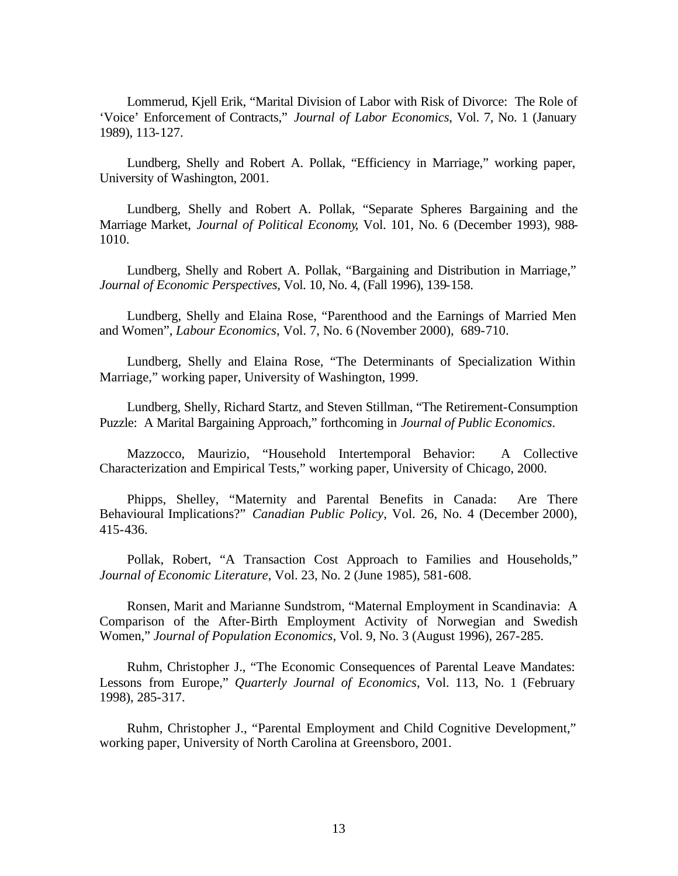Lommerud, Kjell Erik, "Marital Division of Labor with Risk of Divorce: The Role of 'Voice' Enforcement of Contracts," *Journal of Labor Economics*, Vol. 7, No. 1 (January 1989), 113-127.

Lundberg, Shelly and Robert A. Pollak, "Efficiency in Marriage," working paper, University of Washington, 2001.

Lundberg, Shelly and Robert A. Pollak, "Separate Spheres Bargaining and the Marriage Market, *Journal of Political Economy*, Vol. 101, No. 6 (December 1993), 988- 1010.

Lundberg, Shelly and Robert A. Pollak, "Bargaining and Distribution in Marriage," *Journal of Economic Perspectives*, Vol. 10, No. 4, (Fall 1996), 139-158.

Lundberg, Shelly and Elaina Rose, "Parenthood and the Earnings of Married Men and Women", *Labour Economics*, Vol. 7, No. 6 (November 2000), 689-710.

Lundberg, Shelly and Elaina Rose, "The Determinants of Specialization Within Marriage," working paper, University of Washington, 1999.

Lundberg, Shelly, Richard Startz, and Steven Stillman, "The Retirement-Consumption Puzzle: A Marital Bargaining Approach," forthcoming in *Journal of Public Economics*.

Mazzocco, Maurizio, "Household Intertemporal Behavior: A Collective Characterization and Empirical Tests," working paper, University of Chicago, 2000.

Phipps, Shelley, "Maternity and Parental Benefits in Canada: Are There Behavioural Implications?" *Canadian Public Policy*, Vol. 26, No. 4 (December 2000), 415-436.

Pollak, Robert, "A Transaction Cost Approach to Families and Households," *Journal of Economic Literature*, Vol. 23, No. 2 (June 1985), 581-608.

Ronsen, Marit and Marianne Sundstrom, "Maternal Employment in Scandinavia: A Comparison of the After-Birth Employment Activity of Norwegian and Swedish Women," *Journal of Population Economics*, Vol. 9, No. 3 (August 1996), 267-285.

Ruhm, Christopher J., "The Economic Consequences of Parental Leave Mandates: Lessons from Europe," *Quarterly Journal of Economics*, Vol. 113, No. 1 (February 1998), 285-317.

Ruhm, Christopher J., "Parental Employment and Child Cognitive Development," working paper, University of North Carolina at Greensboro, 2001.